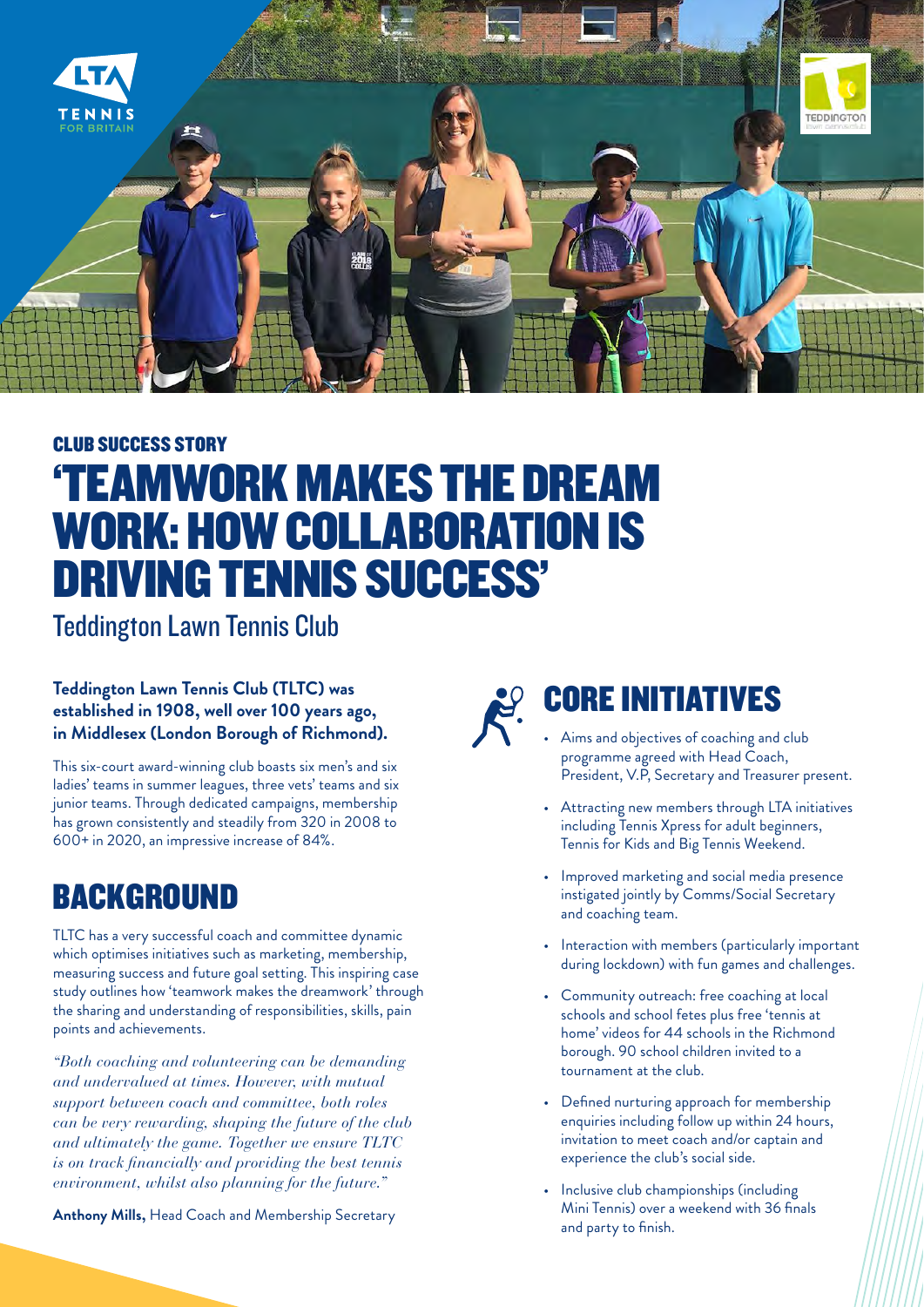

## CLUB SUCCESS STORY 'TEAMWORK MAKES THE DREAM WORK: HOW COLLABORATION IS DRIVING TENNIS SUCCESS'

Teddington Lawn Tennis Club

#### **Teddington Lawn Tennis Club (TLTC) was established in 1908, well over 100 years ago, in Middlesex (London Borough of Richmond).**

This six-court award-winning club boasts six men's and six ladies' teams in summer leagues, three vets' teams and six junior teams. Through dedicated campaigns, membership has grown consistently and steadily from 320 in 2008 to 600+ in 2020, an impressive increase of 84%.

### **BACKGROUND**

TLTC has a very successful coach and committee dynamic which optimises initiatives such as marketing, membership, measuring success and future goal setting. This inspiring case study outlines how 'teamwork makes the dreamwork' through the sharing and understanding of responsibilities, skills, pain points and achievements.

*"Both coaching and volunteering can be demanding and undervalued at times. However, with mutual support between coach and committee, both roles can be very rewarding, shaping the future of the club and ultimately the game. Together we ensure TLTC is on track financially and providing the best tennis environment, whilst also planning for the future."*

**Anthony Mills,** Head Coach and Membership Secretary

# CORE INITIATIVES

- Aims and objectives of coaching and club programme agreed with Head Coach, President, V.P, Secretary and Treasurer present.
- Attracting new members through LTA initiatives including Tennis Xpress for adult beginners, Tennis for Kids and Big Tennis Weekend.
- Improved marketing and social media presence instigated jointly by Comms/Social Secretary and coaching team.
- Interaction with members (particularly important during lockdown) with fun games and challenges.
- Community outreach: free coaching at local schools and school fetes plus free 'tennis at home' videos for 44 schools in the Richmond borough. 90 school children invited to a tournament at the club.
- Defined nurturing approach for membership enquiries including follow up within 24 hours, invitation to meet coach and/or captain and experience the club's social side.
- Inclusive club championships (including Mini Tennis) over a weekend with 36 finals and party to finish.